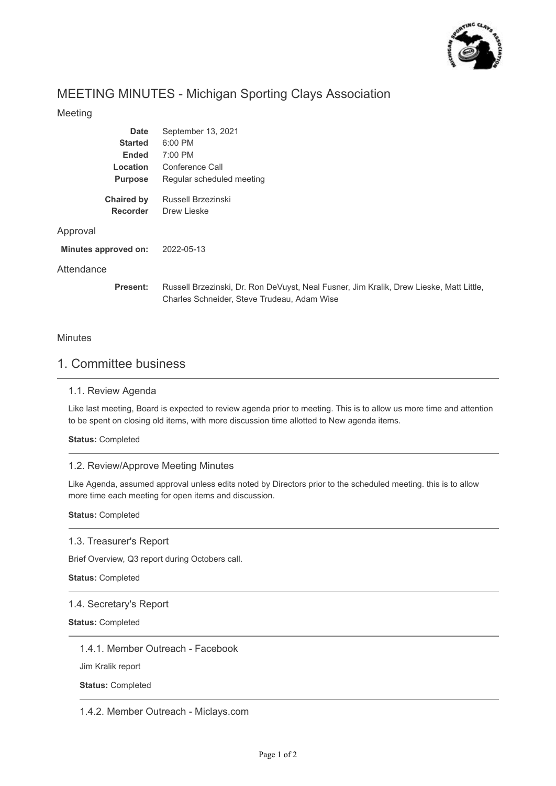

# MEETING MINUTES - Michigan Sporting Clays Association

## Meeting

| <b>Date</b>          | September 13, 2021                                                                                                                     |
|----------------------|----------------------------------------------------------------------------------------------------------------------------------------|
|                      |                                                                                                                                        |
| <b>Started</b>       | 6:00 PM                                                                                                                                |
| Ended                | 7:00 PM                                                                                                                                |
| Location             | Conference Call                                                                                                                        |
| <b>Purpose</b>       | Regular scheduled meeting                                                                                                              |
| <b>Chaired by</b>    | Russell Brzezinski                                                                                                                     |
| <b>Recorder</b>      | Drew Lieske                                                                                                                            |
| Approval             |                                                                                                                                        |
| Minutes approved on: | 2022-05-13                                                                                                                             |
| Attendance           |                                                                                                                                        |
| Present:             | Russell Brzezinski, Dr. Ron DeVuyst, Neal Fusner, Jim Kralik, Drew Lieske, Matt Little,<br>Charles Schneider, Steve Trudeau, Adam Wise |

## **Minutes**

# 1. Committee business

### 1.1. Review Agenda

Like last meeting, Board is expected to review agenda prior to meeting. This is to allow us more time and attention to be spent on closing old items, with more discussion time allotted to New agenda items.

**Status:** Completed

## 1.2. Review/Approve Meeting Minutes

Like Agenda, assumed approval unless edits noted by Directors prior to the scheduled meeting. this is to allow more time each meeting for open items and discussion.

**Status:** Completed

### 1.3. Treasurer's Report

Brief Overview, Q3 report during Octobers call.

**Status:** Completed

### 1.4. Secretary's Report

**Status:** Completed

1.4.1. Member Outreach - Facebook

Jim Kralik report

**Status:** Completed

1.4.2. Member Outreach - Miclays.com